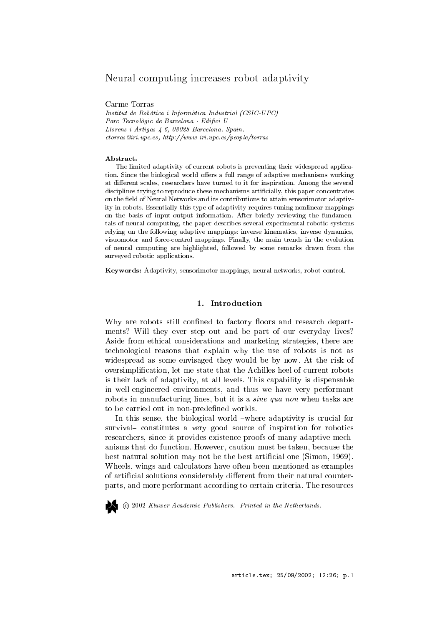# Neural computing increases robot adaptivity

Carme Torras

Institut de Robòtica i Informàtica Industrial (CSIC-UPC) Parc Tecnològic de Barcelona - Edifici U Llorens i Artigas 4-6, 08028-Barcelona. Spain.  $\arccos \Theta$ iri.upc.es, http://www-iri.upc.es/people/torras

### Abstract.

The limited adaptivity of current robots is preventing their widespread application. Since the biological world offers a full range of adaptive mechanisms working at different scales, researchers have turned to it for inspiration. Among the several disciplines trying to reproduce these mechanisms artificially, this paper concentrates on the field of Neural Networks and its contributions to attain sensorimotor adaptivity in robots. Essentially this type of adaptivity requires tuning nonlinear mappings on the basis of input-output information. After briefly reviewing the fundamentals of neural computing, the paper describes several experimental robotic systems relying on the following adaptive mappings: inverse kinematics, inverse dynamics, visuomotor and force-control mappings. Finally, the main trends in the evolution of neural computing are highlighted, followed by some remarks drawn from the surveyed robotic applications.

Keywords: Adaptivity, sensorimotor mappings, neural networks, robot control.

## 1. Introduction

Why are robots still confined to factory floors and research departments? Will they ever step out and be part of our everyday lives? Aside from ethical considerations and marketing strategies, there are technological reasons that explain why the use of robots is not as widespread as some envisaged they would be by now. At the risk of oversimplification, let me state that the Achilles heel of current robots is their lack of adaptivity, at all levels. This capability is dispensable in well-engineered environments, and thus we have very performant robots in manufacturing lines, but it is a *sine qua non* when tasks are to be carried out in non-predefined worlds.

In this sense, the biological world -where adaptivity is crucial for survival-constitutes a very good source of inspiration for robotics researchers, since it provides existence proofs of many adaptive mechanisms that do function. However, caution must be taken, because the best natural solution may not be the best artificial one (Simon, 1969). Wheels, wings and calculators have often been mentioned as examples of artificial solutions considerably different from their natural counterparts, and more performant according to certain criteria. The resources

### © 2002 Kluwer Academic Publishers. Printed in the Netherlands.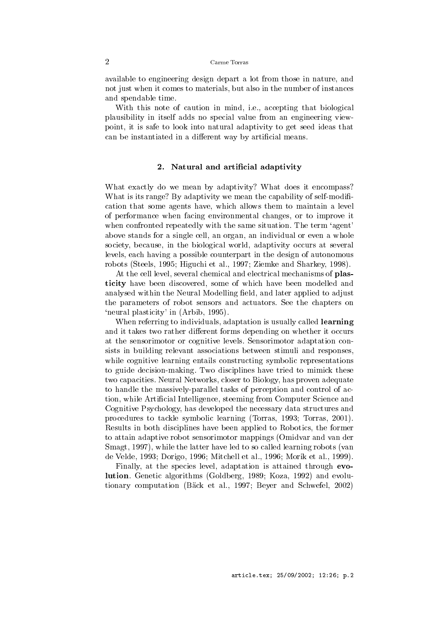available to engineering design depart a lot from those in nature, and not just when it comes to materials, but also in the number of instances and spendable time.

With this note of caution in mind, i.e., accepting that biological plausibility in itself adds no special value from an engineering viewpoint, it is safe to look into natural adaptivity to get seed ideas that can be instantiated in a different way by artificial means.

## 2. Natural and artificial adaptivity

What exactly do we mean by adaptivity? What does it encompass? What is its range? By adaptivity we mean the capability of self-modification that some agents have, which allows them to maintain a level of performance when facing environmental changes, or to improve it when confronted repeatedly with the same situation. The term 'agent' above stands for a single cell, an organ, an individual or even a whole society, because, in the biological world, adaptivity occurs at several levels, each having a possible counterpart in the design of autonomous robots (Steels, 1995; Higuchi et al., 1997; Ziemke and Sharkey, 1998).

At the cell level, several chemical and electrical mechanisms of plasticity have been discovered, some of which have been modelled and analysed within the Neural Modelling field, and later applied to adjust the parameters of robot sensors and actuators. See the chapters on 'neural plasticity' in (Arbib, 1995).

When referring to individuals, adaptation is usually called learning and it takes two rather different forms depending on whether it occurs at the sensorimotor or cognitive levels. Sensorimotor adaptation consists in building relevant associations between stimuli and responses, while cognitive learning entails constructing symbolic representations to guide decision-making. Two disciplines have tried to mimick these two capacities. Neural Networks, closer to Biology, has proven adequate to handle the massively-parallel tasks of perception and control of action, while Artificial Intelligence, steeming from Computer Science and Cognitive Psychology, has developed the necessary data structures and procedures to tackle symbolic learning (Torras, 1993; Torras, 2001). Results in both disciplines have been applied to Robotics, the former to attain adaptive robot sensorimotor mappings (Omidvar and van der Smagt, 1997), while the latter have led to so called learning robots (van de Velde, 1993; Dorigo, 1996; Mitchell et al., 1996; Morik et al., 1999).

Finally, at the species level, adaptation is attained through evolution. Genetic algorithms (Goldberg, 1989; Koza, 1992) and evolutionary computation (Bäck et al., 1997; Beyer and Schwefel, 2002)

 $\overline{2}$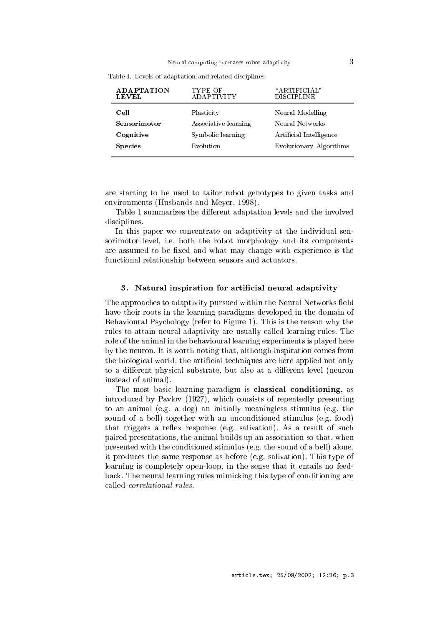| <b>ADAPTATION</b> | TYPE OF              | "ARTIFICIAL"            |
|-------------------|----------------------|-------------------------|
| <b>LEVEL</b>      | <b>ADAPTIVITY</b>    | <b>DISCIPLINE</b>       |
| Cell              | Plasticity           | Neural Modelling        |
| Sensorimotor      | Associative learning | Neural Networks         |
| Cognitive         | Symbolic learning    | Artificial Intelligence |
| <b>Species</b>    | Evolution            | Evolutionary Algorithms |
|                   |                      |                         |

Table I. Levels of adaptation and related disciplines

are starting to be used to tailor robot genotypes to given tasks and environments (Husbands and Meyer, 1998).

Table 1 summarizes the different adaptation levels and the involved disciplines.

In this paper we concentrate on adaptivity at the individual sensorimotor level, i.e. both the robot morphology and its components are assumed to be fixed and what may change with experience is the functional relationship between sensors and actuators.

### 3. Natural inspiration for artificial neural adaptivity

The approaches to adaptivity pursued within the Neural Networks field have their roots in the learning paradigms developed in the domain of Behavioural Psychology (refer to Figure 1). This is the reason why the rules to attain neural adaptivity are usually called learning rules. The role of the animal in the behavioural learning experiments is played here by the neuron. It is worth noting that, although inspiration comes from the biological world, the artificial techniques are here applied not only to a different physical substrate, but also at a different level (neuron instead of animal).

The most basic learning paradigm is classical conditioning, as introduced by Pavlov (1927), which consists of repeatedly presenting to an animal (e.g. a dog) an initially meaningless stimulus (e.g. the sound of a bell) together with an unconditioned stimulus (e.g. food) that triggers a reflex response (e.g. salivation). As a result of such paired presentations, the animal builds up an association so that, when presented with the conditioned stimulus (e.g. the sound of a bell) alone, it produces the same response as before (e.g. salivation). This type of learning is completely open-loop, in the sense that it entails no feedback. The neural learning rules mimicking this type of conditioning are called *correlational* rules.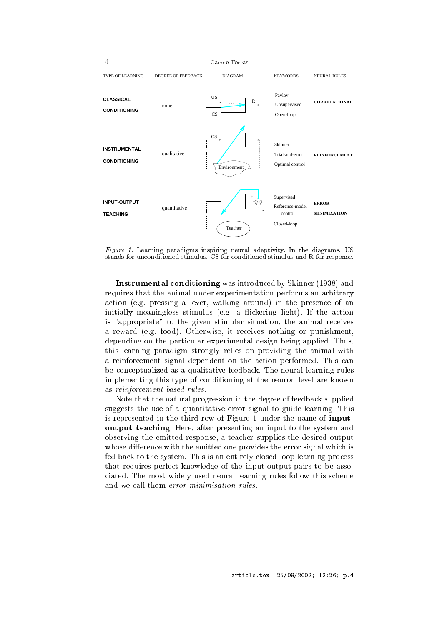

r agailte richting paradigme mopring noarar adapting in the diagrams, op 

 / 

 . 

 ${\bf Instrumental~conditioning}$  was introduced by  ${\rm Skinner}$  (1938) and en andere stad in de stad in de stad in de stad in de stad in de stad in de stad in de stad in de stad in de s - %!! - - -\* - - - %!! - \*! " - F--G - - -- - - %!! \*! = -- 
-  -!  $\mathbf{A} \cdot \mathbf{F}$  . The state of  $\mathbf{A} \cdot \mathbf{F}$  . The state of  $\mathbf{A} \cdot \mathbf{F}$  is a state of  $\mathbf{A} \cdot \mathbf{F}$ - - - ! en en de la commune de la commune de la commune de la commune de la commune de la commune de la commune de la - records the contract of the contract of the contract of the contract of the contract of the contract of the con

6
 - -- - - 8-- - -! is represented in the third row of Figure 1 under the name of **input-** ! \$ - - -  - - + 

 -  $\blacksquare$  . The set of the set of the set of the set of the set of the set of the set of the set of the set of the set of the set of the set of the set of the set of the set of the set of the set of the set of the set of the - 8 -  -  $\mathcal{A}$  . The contract of  $\mathcal{A}$  is a set of  $\mathcal{A}$  is a set of  $\mathcal{A}$  is a set of  $\mathcal{A}$  is a set of  $\mathcal{A}$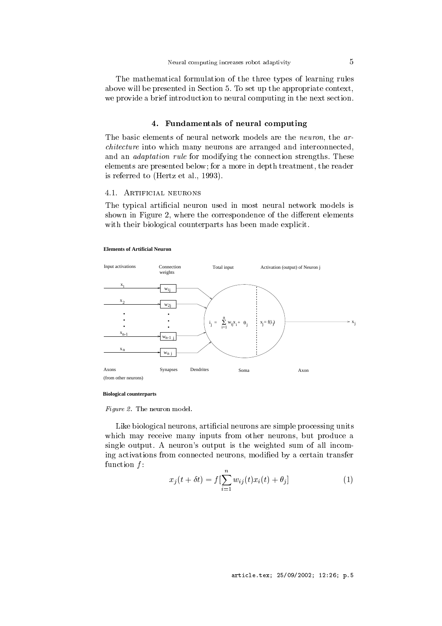The mathematical formulation of the three types of learning rules above will be presented in Section 5. To set up the appropriate context, we provide a brief introduction to neural computing in the next section.

### 4. Fundamentals of neural computing

The basic elements of neural network models are the neuron, the ar*chitecture* into which many neurons are arranged and interconnected, and an *adaptation rule* for modifying the connection strengths. These elements are presented below; for a more in depth treatment, the reader is referred to (Hertz et al., 1993).

### 4.1. ARTIFICIAL NEURONS

The typical artificial neuron used in most neural network models is shown in Figure 2, where the correspondence of the different elements with their biological counterparts has been made explicit.

### **Elements of Artificial Neuron**



#### **Biological counterparts**

Figure 2. The neuron model.

Like biological neurons, artificial neurons are simple processing units which may receive many inputs from other neurons, but produce a single output. A neuron's output is the weighted sum of all incoming activations from connected neurons, modified by a certain transfer function  $f$ :

$$
x_j(t + \delta t) = f\left[\sum_{i=1}^n w_{ij}(t)x_i(t) + \theta_j\right]
$$
 (1)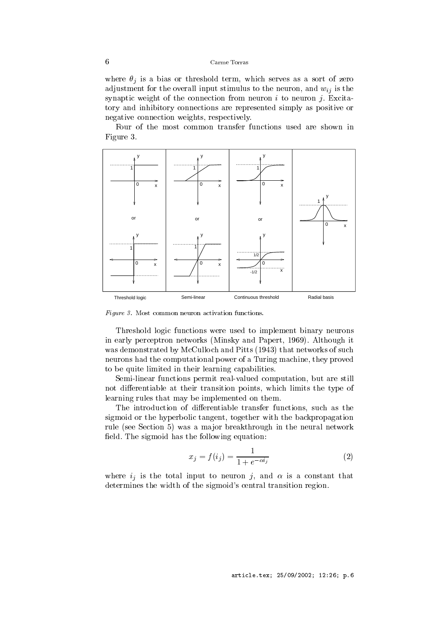where  $\theta_i$  is a bias or threshold term, which serves as a sort of zero adjustment for the overall input stimulus to the neuron, and  $w_{ij}$  is the synaptic weight of the connection from neuron  $i$  to neuron  $j$ . Excitatory and inhibitory connections are represented simply as positive or negative connection weights, respectively.

Four of the most common transfer functions used are shown in Figure 3.



Figure 3. Most common neuron activation functions.

Threshold logic functions were used to implement binary neurons in early perceptron networks (Minsky and Papert, 1969). Although it was demonstrated by McCulloch and Pitts (1943) that networks of such neurons had the computational power of a Turing machine, they proved to be quite limited in their learning capabilities.

Semi-linear functions permit real-valued computation, but are still not differentiable at their transition points, which limits the type of learning rules that may be implemented on them.

The introduction of differentiable transfer functions, such as the sigmoid or the hyperbolic tangent, together with the backpropagation rule (see Section 5) was a major breakthrough in the neural network field. The sigmoid has the following equation:

$$
x_j = f(i_j) = \frac{1}{1 + e^{-\alpha i_j}}
$$
 (2)

where  $i_j$  is the total input to neuron j, and  $\alpha$  is a constant that determines the width of the sigmoid's central transition region.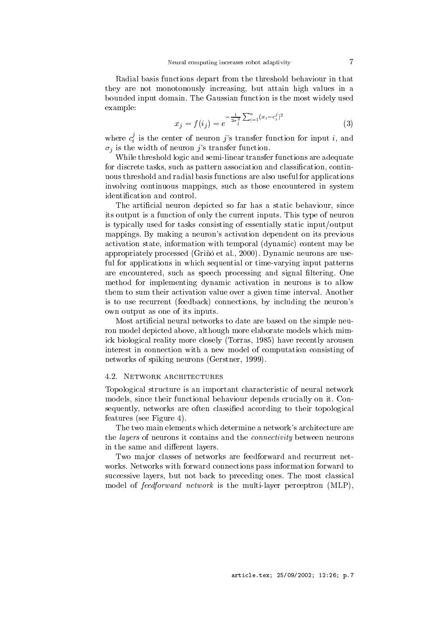Radial basis functions depart from the threshold behaviour in that they are not monotonously increasing, but attain high values in a bounded input domain. The Gaussian function is the most widely used example:

$$
x_j = f(i_j) = e^{-\frac{1}{2\sigma_j^2} \sum_{i=1}^n (x_i - c_i^j)^2}
$$
\n(3)

where  $c_i^j$  is the center of neuron j's transfer function for input i, and  $\sigma_i$  is the width of neuron j's transfer function.

While threshold logic and semi-linear transfer functions are adequate for discrete tasks, such as pattern association and classification, continuous threshold and radial basis functions are also useful for applications involving continuous mappings, such as those encountered in system identification and control.

The artificial neuron depicted so far has a static behaviour, since its output is a function of only the current inputs. This type of neuron is typically used for tasks consisting of essentially static input/output mappings. By making a neuron's activation dependent on its previous activation state, information with temporal (dynamic) content may be appropriately processed (Griñó et al., 2000). Dynamic neurons are useful for applications in which sequential or time-varying input patterns are encountered, such as speech processing and signal filtering. One method for implementing dynamic activation in neurons is to allow them to sum their activation value over a given time interval. Another is to use recurrent (feedback) connections, by including the neuron's own output as one of its inputs.

Most artificial neural networks to date are based on the simple neuron model depicted above, although more elaborate models which mimick biological reality more closely (Torras, 1985) have recently arousen interest in connection with a new model of computation consisting of networks of spiking neurons (Gerstner, 1999).

## 4.2. NETWORK ARCHITECTURES

Topological structure is an important characteristic of neural network models, since their functional behaviour depends crucially on it. Consequently, networks are often classified according to their topological features (see Figure 4).

The two main elements which determine a network's architecture are the *layers* of neurons it contains and the *connectivity* between neurons in the same and different layers.

Two major classes of networks are feedforward and recurrent networks. Networks with forward connections pass information forward to successive layers, but not back to preceding ones. The most classical model of *feedforward network* is the multi-layer perceptron (MLP).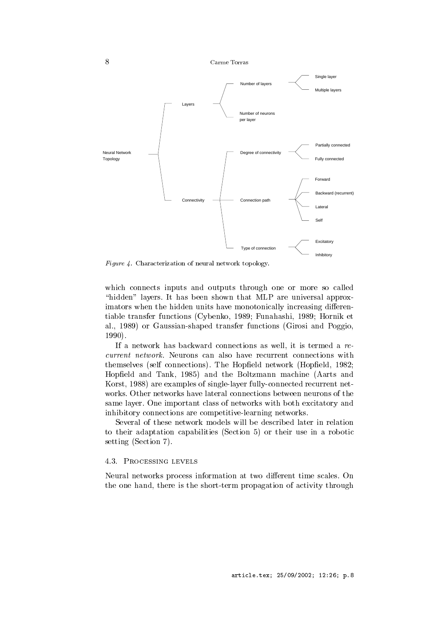

 $\frac{1}{2}$  of  $\frac{1}{2}$  . Ontaracterization of neural neural technology,

 $\mathbf{r}$  -  $\mathbf{r}$  -  $\mathbf{r}$  -  $\mathbf{r}$  -  $\mathbf{r}$  -  $\mathbf{r}$  -  $\mathbf{r}$  -  $\mathbf{r}$ t en de la commune de la commune de la commune de la commune de la commune de la commune de la commune de la c - 
 - 
- - + tiable transfer functions (Cybenko, 1989; Funahashi, 1989; Hornik et al., 1989) or Gaussian-shaped transfer functions (Girosi and Poggio,  $(1990).$ 

" - - - - - themselves (self connections). The Hopfield network (Hopfield, 1982; Hopfield and Tank, 1985) and the Boltzmann machine (Aarts and Korst, 1988) are examples of single-layer fully-connected recurrent net- $\blacksquare$  . The state of the state of the state of the state of the state of the state of the state of the state of the state of the state of the state of the state of the state of the state of the state of the state of the 

 - 

- 
 !

 --- -- %& 1\*  setting (Section 7).

### 4.3. PROCESSING LEVELS

denotes the contract of the contract of the contract of the contract of the contract of the contract of the contract of the contract of the contract of the contract of the contract of the contract of the contract of the co - -- -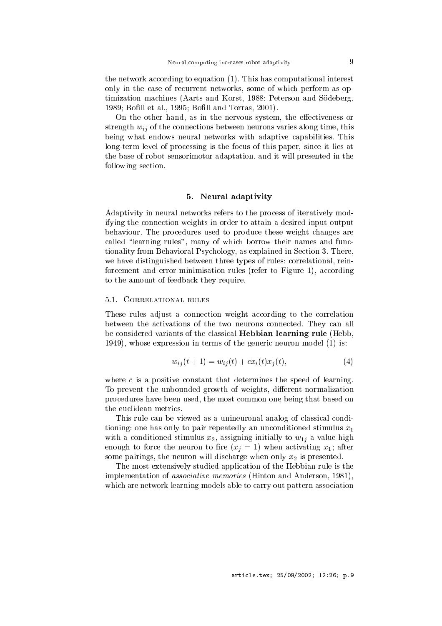the network according to equation (1). This has computational interest only in the case of recurrent networks, some of which perform as optimization machines (Aarts and Korst, 1988; Peterson and Södeberg, 1989; Bofill et al., 1995; Bofill and Torras, 2001).

On the other hand, as in the nervous system, the effectiveness or strength  $w_{ij}$  of the connections between neurons varies along time, this being what endows neural networks with adaptive capabilities. This long-term level of processing is the focus of this paper, since it lies at the base of robot sensorimotor adaptation, and it will presented in the following section.

### 5. Neural adaptivity

Adaptivity in neural networks refers to the process of iteratively modifying the connection weights in order to attain a desired input-output behaviour. The procedures used to produce these weight changes are called "learning rules", many of which borrow their names and functionality from Behavioral Psychology, as explained in Section 3. There, we have distinguished between three types of rules: correlational, reinforcement and error-minimisation rules (refer to Figure 1), according to the amount of feedback they require.

## 5.1. CORRELATIONAL RULES

These rules adjust a connection weight according to the correlation between the activations of the two neurons connected. They can all be considered variants of the classical **Hebbian learning rule** (Hebb, 1949), whose expression in terms of the generic neuron model  $(1)$  is:

$$
w_{ij}(t+1) = w_{ij}(t) + cx_i(t)x_j(t),
$$
\n(4)

where  $c$  is a positive constant that determines the speed of learning. To prevent the unbounded growth of weights, different normalization procedures have been used, the most common one being that based on the euclidean metrics.

This rule can be viewed as a unineuronal analog of classical conditioning: one has only to pair repeatedly an unconditioned stimulus  $x_1$ with a conditioned stimulus  $x_2$ , assigning initially to  $w_{1i}$  a value high enough to force the neuron to fire  $(x_i = 1)$  when activating  $x_1$ ; after some pairings, the neuron will discharge when only  $x_2$  is presented.

The most extensively studied application of the Hebbian rule is the implementation of *associative memories* (Hinton and Anderson, 1981). which are network learning models able to carry out pattern association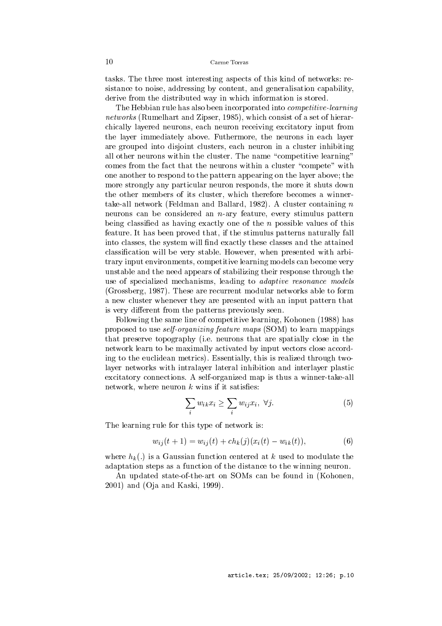tasks. The three most interesting aspects of this kind of networks: resistance to noise, addressing by content, and generalisation capability, derive from the distributed way in which information is stored.

The Hebbian rule has also been incorporated into *competitive-learning* networks (Rumelhart and Zipser, 1985), which consist of a set of hierarchically layered neurons, each neuron receiving excitatory input from the layer immediately above. Futhermore, the neurons in each layer are grouped into disjoint clusters, each neuron in a cluster inhibiting all other neurons within the cluster. The name "competitive learning" comes from the fact that the neurons within a cluster "compete" with one another to respond to the pattern appearing on the layer above; the more strongly any particular neuron responds, the more it shuts down the other members of its cluster, which therefore becomes a winnertake all network (Feldman and Ballard, 1982). A cluster containing  $n$ neurons can be considered an  $n$ -ary feature, every stimulus pattern being classified as having exactly one of the  $n$  possible values of this feature. It has been proved that, if the stimulus patterns naturally fall into classes, the system will find exactly these classes and the attained classification will be very stable. However, when presented with arbitrary input environments, competitive learning models can become very unstable and the need appears of stabilizing their response through the use of specialized mechanisms, leading to *adaptive resonance models* (Grossberg, 1987). These are recurrent modular networks able to form a new cluster whenever they are presented with an input pattern that is very different from the patterns previously seen.

Following the same line of competitive learning, Kohonen (1988) has proposed to use *self-organizing feature maps* (SOM) to learn mappings that preserve topography (i.e. neurons that are spatially close in the network learn to be maximally activated by input vectors close according to the euclidean metrics). Essentially, this is realized through twolayer networks with intralayer lateral inhibition and interlayer plastic excitatory connections. A self-organized map is thus a winner-take-all network, where neuron  $k$  wins if it satisfies:

$$
\sum_{i} w_{ik} x_i \ge \sum_{i} w_{ij} x_i, \ \forall j. \tag{5}
$$

The learning rule for this type of network is:

$$
w_{ij}(t+1) = w_{ij}(t) + ch_k(j)(x_i(t) - w_{ik}(t)),
$$
\n(6)

where  $h_k(.)$  is a Gaussian function centered at k used to modulate the adaptation steps as a function of the distance to the winning neuron.

An updated state of the art on SOMs can be found in (Kohonen, 2001) and (Oja and Kaski, 1999).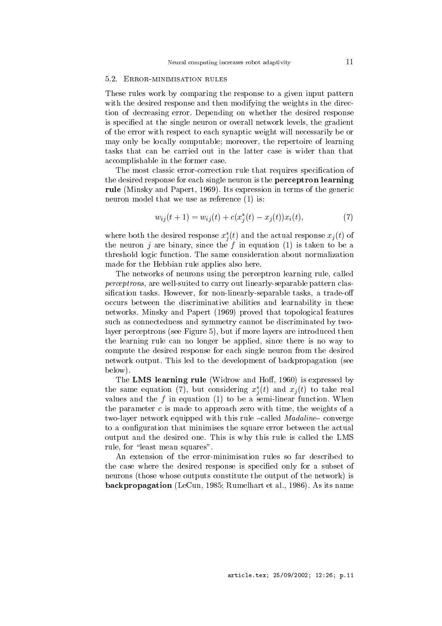#### 5.2. ERROR-MINIMISATION RULES

These rules work by comparing the response to a given input pattern with the desired response and then modifying the weights in the direction of decreasing error. Depending on whether the desired response is specified at the single neuron or overall network levels, the gradient of the error with respect to each synaptic weight will necessarily be or may only be locally computable; moreover, the repertoire of learning tasks that can be carried out in the latter case is wider than that accomplishable in the former case.

The most classic error-correction rule that requires specification of the desired response for each single neuron is the perceptron learning rule (Minsky and Papert, 1969). Its expression in terms of the generic neuron model that we use as reference  $(1)$  is:

$$
w_{ij}(t+1) = w_{ij}(t) + c(x_j^*(t) - x_j(t))x_i(t),
$$
\n(7)

where both the desired response  $x_i^*(t)$  and the actual response  $x_i(t)$  of the neuron j are binary, since the f in equation (1) is taken to be a threshold logic function. The same consideration about normalization made for the Hebbian rule applies also here.

The networks of neurons using the perceptron learning rule, called *perceptrons*, are well-suited to carry out linearly-separable pattern classification tasks. However, for non-linearly-separable tasks, a trade-off occurs between the discriminative abilities and learnability in these networks. Minsky and Papert (1969) proved that topological features such as connectedness and symmetry cannot be discriminated by twolayer perceptrons (see Figure 5), but if more layers are introduced then the learning rule can no longer be applied, since there is no way to compute the desired response for each single neuron from the desired network output. This led to the development of backpropagation (see below).

The LMS learning rule (Widrow and Hoff, 1960) is expressed by the same equation (7), but considering  $x_i^*(t)$  and  $x_i(t)$  to take real values and the  $f$  in equation (1) to be a semi-linear function. When the parameter  $c$  is made to approach zero with time, the weights of a two-layer network equipped with this rule -called *Madaline*-converge to a configuration that minimises the square error between the actual output and the desired one. This is why this rule is called the LMS rule, for "least mean squares".

An extension of the error-minimisation rules so far described to the case where the desired response is specified only for a subset of neurons (those whose outputs constitute the output of the network) is **backpropagation** (LeCun, 1985; Rumelhart et al., 1986). As its name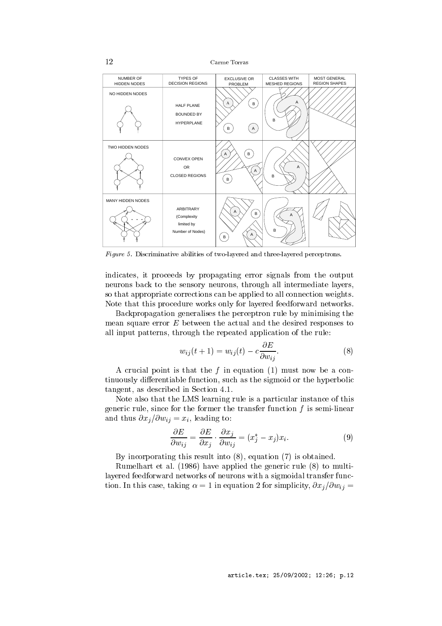

Figure 5. Discriminative abilities of two-layered and three-layered perceptrons.

indicates, it proceeds by propagating error signals from the output neurons back to the sensory neurons, through all intermediate layers, so that appropriate corrections can be applied to all connection weights. Note that this procedure works only for layered feedforward networks.

Backpropagation generalises the perceptron rule by minimising the mean square error  $E$  between the actual and the desired responses to all input patterns, through the repeated application of the rule:

$$
w_{ij}(t+1) = w_{ij}(t) - c\frac{\partial E}{\partial w_{ij}}.\tag{8}
$$

A crucial point is that the  $f$  in equation (1) must now be a continuously differentiable function, such as the sigmoid or the hyperbolic tangent, as described in Section 4.1.

Note also that the LMS learning rule is a particular instance of this generic rule, since for the former the transfer function  $f$  is semi-linear and thus  $\partial x_j / \partial w_{ij} = x_i$ , leading to:

$$
\frac{\partial E}{\partial w_{ij}} = \frac{\partial E}{\partial x_j} \cdot \frac{\partial x_j}{\partial w_{ij}} = (x_j^* - x_j)x_i.
$$
 (9)

By incorporating this result into  $(8)$ , equation  $(7)$  is obtained.

Rumelhart et al. (1986) have applied the generic rule (8) to multilayered feedforward networks of neurons with a sigmoidal transfer function. In this case, taking  $\alpha = 1$  in equation 2 for simplicity,  $\partial x_i / \partial w_{ij} =$ 

12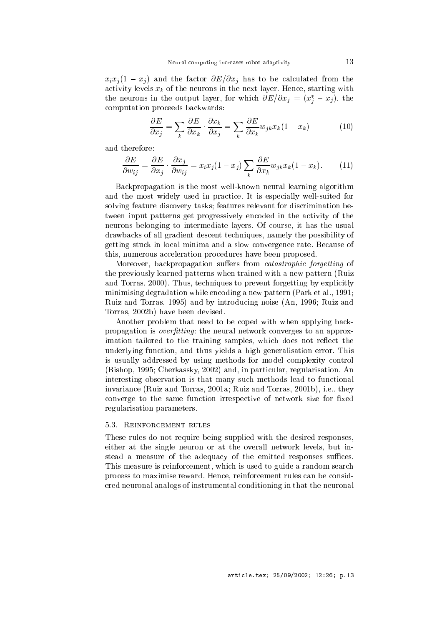$x_i x_j (1 - x_j)$  and the factor  $\partial E/\partial x_j$  has to be calculated from the activity levels  $x_k$  of the neurons in the next layer. Hence, starting with the neurons in the output layer, for which  $\partial E/\partial x_i = (x_i^* - x_i)$ , the computation proceeds backwards:

$$
\frac{\partial E}{\partial x_j} = \sum_k \frac{\partial E}{\partial x_k} \cdot \frac{\partial x_k}{\partial x_j} = \sum_k \frac{\partial E}{\partial x_k} w_{jk} x_k (1 - x_k)
$$
(10)

and therefore:

$$
\frac{\partial E}{\partial w_{ij}} = \frac{\partial E}{\partial x_j} \cdot \frac{\partial x_j}{\partial w_{ij}} = x_i x_j (1 - x_j) \sum_k \frac{\partial E}{\partial x_k} w_{jk} x_k (1 - x_k). \tag{11}
$$

Backpropagation is the most well-known neural learning algorithm and the most widely used in practice. It is especially well-suited for solving feature discovery tasks; features relevant for discrimination between input patterns get progressively encoded in the activity of the neurons belonging to intermediate layers. Of course, it has the usual drawbacks of all gradient descent techniques, namely the possibility of getting stuck in local minima and a slow convergence rate. Because of this, numerous acceleration procedures have been proposed.

Moreover, backpropagation suffers from *catastrophic forgetting* of the previously learned patterns when trained with a new pattern (Ruiz and Torras, 2000). Thus, techniques to prevent forgetting by explicitly minimising degradation while encoding a new pattern (Park et al., 1991; Ruiz and Torras, 1995) and by introducing noise (An, 1996; Ruiz and Torras, 2002b) have been devised.

Another problem that need to be coped with when applying backpropagation is *overfitting*: the neural network converges to an approximation tailored to the training samples, which does not reflect the underlying function, and thus yields a high generalisation error. This is usually addressed by using methods for model complexity control (Bishop, 1995; Cherkassky, 2002) and, in particular, regularisation. An interesting observation is that many such methods lead to functional invariance (Ruiz and Torras, 2001a; Ruiz and Torras, 2001b), i.e., they converge to the same function irrespective of network size for fixed regularisation parameters.

### 5.3. REINFORCEMENT RULES

These rules do not require being supplied with the desired responses, either at the single neuron or at the overall network levels, but instead a measure of the adequacy of the emitted responses suffices. This measure is reinforcement, which is used to guide a random search process to maximise reward. Hence, reinforcement rules can be considered neuronal analogs of instrumental conditioning in that the neuronal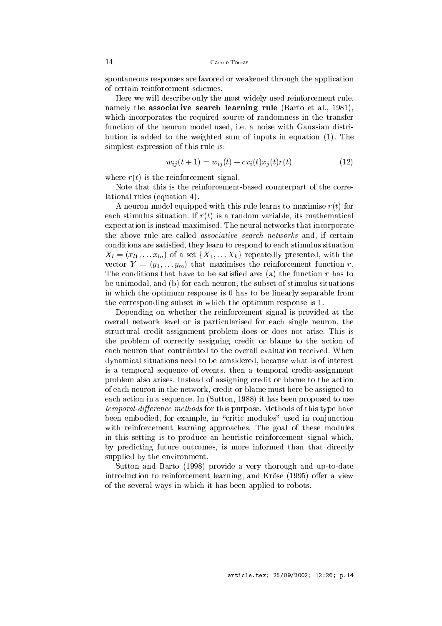spontaneous responses are favored or weakened through the application of certain reinforcement schemes.

Here we will describe only the most widely used reinforcement rule, namely the associative search learning rule (Barto et al., 1981), which incorporates the required source of randomness in the transfer function of the neuron model used, i.e. a noise with Gaussian distribution is added to the weighted sum of inputs in equation (1). The simplest expression of this rule is:

$$
w_{ij}(t+1) = w_{ij}(t) + cx_i(t)x_j(t)r(t)
$$
\n(12)

where  $r(t)$  is the reinforcement signal.

Note that this is the reinforcement-based counterpart of the correlational rules (equation 4).

A neuron model equipped with this rule learns to maximise  $r(t)$  for each stimulus situation. If  $r(t)$  is a random variable, its mathematical expectation is instead maximised. The neural networks that incorporate the above rule are called *associative search networks* and, if certain conditions are satisfied, they learn to respond to each stimulus situation  $X_l = (x_{l1}, \ldots x_{ln})$  of a set  $\{X_1, \ldots X_k\}$  repeatedly presented, with the vector  $Y = (y_1, \ldots, y_m)$  that maximises the reinforcement function r. The conditions that have to be satisfied are: (a) the function  $r$  has to be unimodal, and (b) for each neuron, the subset of stimulus situations in which the optimum response is 0 has to be linearly separable from the corresponding subset in which the optimum response is 1.

Depending on whether the reinforcement signal is provided at the overall network level or is particularised for each single neuron, the structural credit-assignment problem does or does not arise. This is the problem of correctly assigning credit or blame to the action of each neuron that contributed to the overall evaluation received. When dynamical situations need to be considered, because what is of interest is a temporal sequence of events, then a temporal credit-assignment problem also arises. Instead of assigning credit or blame to the action of each neuron in the network, credit or blame must here be assigned to each action in a sequence. In (Sutton, 1988) it has been proposed to use *temporal-difference methods* for this purpose. Methods of this type have been embodied, for example, in "critic modules" used in conjunction with reinforcement learning approaches. The goal of these modules in this setting is to produce an heuristic reinforcement signal which, by predicting future outcomes, is more informed than that directly supplied by the environment.

Sutton and Barto (1998) provide a very thorough and up-to-date introduction to reinforcement learning, and Kröse (1995) offer a view of the several ways in which it has been applied to robots.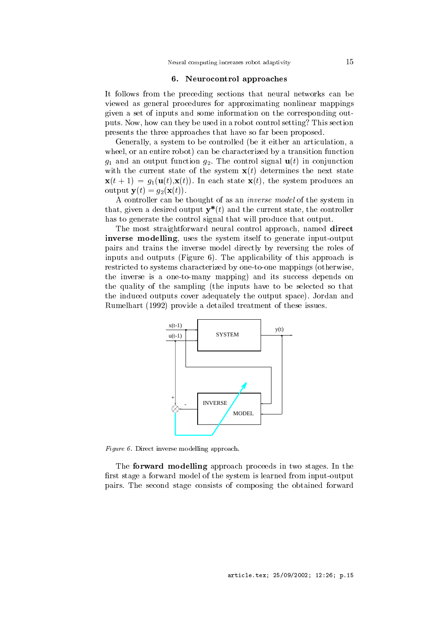### 6. Neurocontrol approaches

It follows from the preceding sections that neural networks can be viewed as general procedures for approximating nonlinear mappings given a set of inputs and some information on the corresponding outputs. Now, how can they be used in a robot control setting? This section presents the three approaches that have so far been proposed.

Generally, a system to be controlled (be it either an articulation, a wheel, or an entire robot) can be characterized by a transition function  $g_1$  and an output function  $g_2$ . The control signal  $\mathbf{u}(t)$  in conjunction with the current state of the system  $\mathbf{x}(t)$  determines the next state  $\mathbf{x}(t+1) = g_1(\mathbf{u}(t), \mathbf{x}(t))$ . In each state  $\mathbf{x}(t)$ , the system produces an output  $\mathbf{y}(t) = g_2(\mathbf{x}(t)).$ 

A controller can be thought of as an *inverse model* of the system in that, given a desired output  $y^*(t)$  and the current state, the controller has to generate the control signal that will produce that output.

The most straightforward neural control approach, named direct inverse modelling, uses the system itself to generate input-output pairs and trains the inverse model directly by reversing the roles of inputs and outputs (Figure 6). The applicability of this approach is restricted to systems characterized by one-to-one mappings (otherwise, the inverse is a one-to-many mapping) and its success depends on the quality of the sampling (the inputs have to be selected so that the induced outputs cover adequately the output space). Jordan and Rumelhart (1992) provide a detailed treatment of these issues.



Figure 6. Direct inverse modelling approach.

The forward modelling approach proceeds in two stages. In the first stage a forward model of the system is learned from input-output pairs. The second stage consists of composing the obtained forward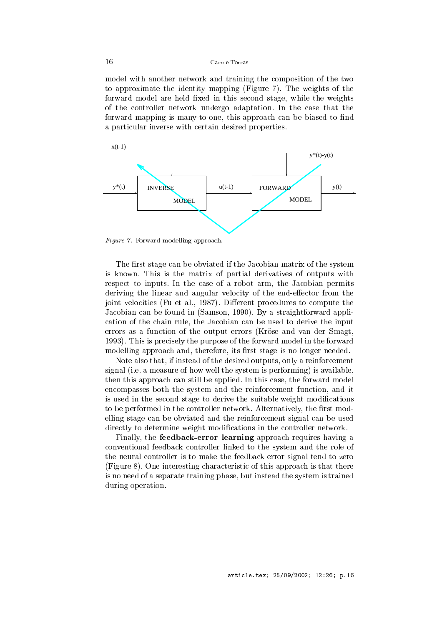model with another network and training the composition of the two to approximate the identity mapping (Figure 7). The weights of the forward model are held fixed in this second stage, while the weights of the controller network undergo adaptation. In the case that the forward mapping is many-to-one, this approach can be biased to find a particular inverse with certain desired properties.



Figure 7. Forward modelling approach.

The first stage can be obviated if the Jacobian matrix of the system is known. This is the matrix of partial derivatives of outputs with respect to inputs. In the case of a robot arm, the Jacobian permits deriving the linear and angular velocity of the end-effector from the joint velocities (Fu et al., 1987). Different procedures to compute the Jacobian can be found in (Samson, 1990). By a straightforward application of the chain rule, the Jacobian can be used to derive the input errors as a function of the output errors (Kröse and van der Smagt. 1993). This is precisely the purpose of the forward model in the forward modelling approach and, therefore, its first stage is no longer needed.

Note also that, if instead of the desired outputs, only a reinforcement signal (i.e. a measure of how well the system is performing) is available, then this approach can still be applied. In this case, the forward model encompasses both the system and the reinforcement function, and it is used in the second stage to derive the suitable weight modifications to be performed in the controller network. Alternatively, the first modelling stage can be obviated and the reinforcement signal can be used directly to determine weight modifications in the controller network.

Finally, the feedback-error learning approach requires having a conventional feedback controller linked to the system and the role of the neural controller is to make the feedback error signal tend to zero (Figure 8). One interesting characteristic of this approach is that there is no need of a separate training phase, but instead the system is trained during operation.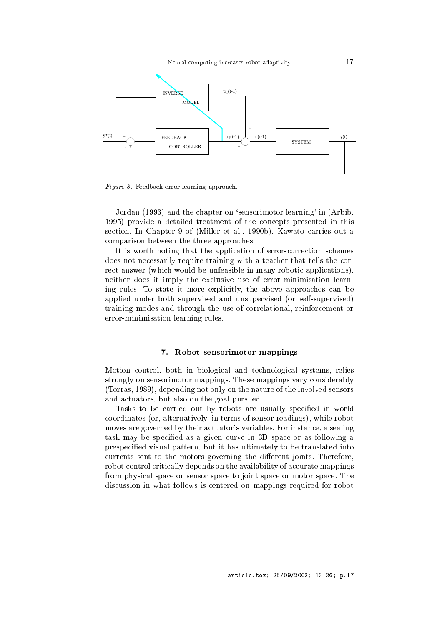

Figure 8. Feedback-error learning approach.

Jordan (1993) and the chapter on 'sensorimotor learning' in (Arbib, 1995) provide a detailed treatment of the concepts presented in this section. In Chapter 9 of (Miller et al., 1990b), Kawato carries out a comparison between the three approaches.

It is worth noting that the application of error-correction schemes does not necessarily require training with a teacher that tells the correct answer (which would be unfeasible in many robotic applications), neither does it imply the exclusive use of error-minimisation learning rules. To state it more explicitly, the above approaches can be applied under both supervised and unsupervised (or self-supervised) training modes and through the use of correlational, reinforcement or error-minimisation learning rules.

### 7. Robot sensorimotor mappings

Motion control, both in biological and technological systems, relies strongly on sensorimotor mappings. These mappings vary considerably (Torras, 1989), depending not only on the nature of the involved sensors and actuators, but also on the goal pursued.

Tasks to be carried out by robots are usually specified in world coordinates (or, alternatively, in terms of sensor readings), while robot moves are governed by their actuator's variables. For instance, a sealing task may be specified as a given curve in 3D space or as following a prespecified visual pattern, but it has ultimately to be translated into currents sent to the motors governing the different joints. Therefore, robot control critically depends on the availability of accurate mappings from physical space or sensor space to joint space or motor space. The discussion in what follows is centered on mappings required for robot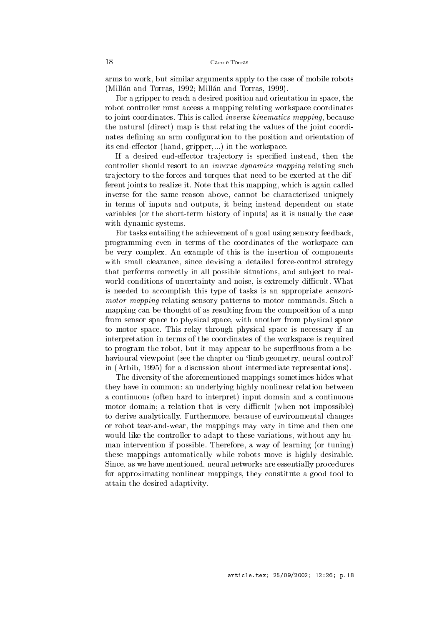arms to work, but similar arguments apply to the case of mobile robots (Millán and Torras, 1992; Millán and Torras, 1999).

For a gripper to reach a desired position and orientation in space, the robot controller must access a mapping relating workspace coordinates to joint coordinates. This is called *inverse kinematics mapping*, because the natural (direct) map is that relating the values of the joint coordinates defining an arm configuration to the position and orientation of its end-effector (hand, gripper,...) in the workspace.

If a desired end-effector trajectory is specified instead, then the controller should resort to an *inverse dynamics mapping* relating such trajectory to the forces and torques that need to be exerted at the different joints to realize it. Note that this mapping, which is again called inverse for the same reason above, cannot be characterized uniquely in terms of inputs and outputs, it being instead dependent on state variables (or the short-term history of inputs) as it is usually the case with dynamic systems.

For tasks entailing the achievement of a goal using sensory feedback. programming even in terms of the coordinates of the workspace can be very complex. An example of this is the insertion of components with small clearance, since devising a detailed force-control strategy that performs correctly in all possible situations, and subject to realworld conditions of uncertainty and noise, is extremely difficult. What is needed to accomplish this type of tasks is an appropriate *sensorimotor mapping* relating sensory patterns to motor commands. Such a mapping can be thought of as resulting from the composition of a map from sensor space to physical space, with another from physical space to motor space. This relay through physical space is necessary if an interpretation in terms of the coordinates of the workspace is required to program the robot, but it may appear to be superfluous from a behavioural viewpoint (see the chapter on 'limb geometry, neural control' in (Arbib, 1995) for a discussion about intermediate representations).

The diversity of the aforementioned mappings sometimes hides what they have in common: an underlying highly nonlinear relation between a continuous (often hard to interpret) input domain and a continuous motor domain; a relation that is very difficult (when not impossible) to derive analytically. Furthermore, because of environmental changes or robot tear-and-wear, the mappings may vary in time and then one would like the controller to adapt to these variations, without any human intervention if possible. Therefore, a way of learning (or tuning) these mappings automatically while robots move is highly desirable. Since, as we have mentioned, neural networks are essentially procedures for approximating nonlinear mappings, they constitute a good tool to attain the desired adaptivity.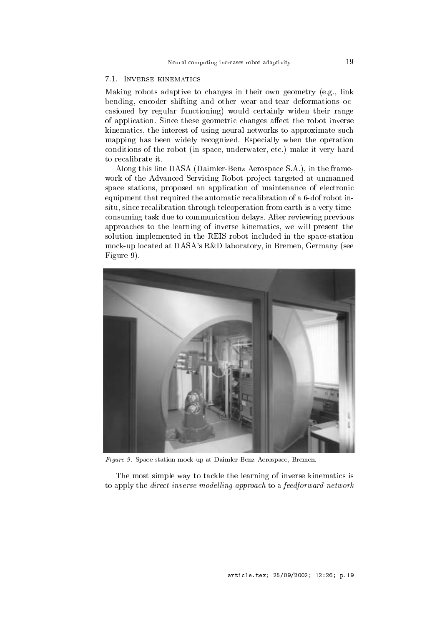## 7.1. INVERSE KINEMATICS

Making robots adaptive to changes in their own geometry (e.g., link bending, encoder shifting and other wear-and-tear deformations occasioned by regular functioning) would certainly widen their range of application. Since these geometric changes affect the robot inverse kinematics, the interest of using neural networks to approximate such mapping has been widely recognized. Especially when the operation conditions of the robot (in space, underwater, etc.) make it very hard to recalibrate it.

Along this line DASA (Daimler-Benz Aerospace S.A.), in the framework of the Advanced Servicing Robot project targeted at unmanned space stations, proposed an application of maintenance of electronic equipment that required the automatic recalibration of a 6-dof robot insitu, since recalibration through teleoperation from earth is a very timeconsuming task due to communication delays. After reviewing previous approaches to the learning of inverse kinematics, we will present the solution implemented in the REIS robot included in the space-station mock-up located at DASA's R&D laboratory, in Bremen, Germany (see Figure 9).



Figure 9. Space station mock-up at Daimler-Benz Aerospace, Bremen.

The most simple way to tackle the learning of inverse kinematics is to apply the *direct inverse modelling approach* to a *feedforward network*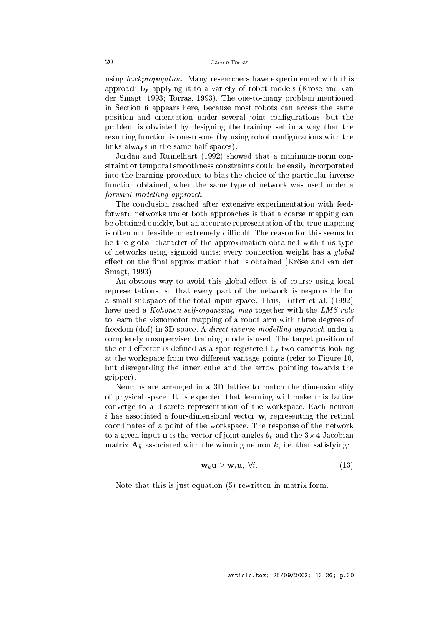using *backpropagation*. Many researchers have experimented with this approach by applying it to a variety of robot models (Kröse and van der Smagt, 1993; Torras, 1993). The one-to-many problem mentioned in Section 6 appears here, because most robots can access the same position and orientation under several joint configurations, but the problem is obviated by designing the training set in a way that the resulting function is one-to-one (by using robot configurations with the links always in the same half-spaces).

Jordan and Rumelhart (1992) showed that a minimum-norm constraint or temporal smoothness constraints could be easily incorporated into the learning procedure to bias the choice of the particular inverse function obtained, when the same type of network was used under a forward modelling approach.

The conclusion reached after extensive experimentation with feedforward networks under both approaches is that a coarse mapping can be obtained quickly, but an accurate representation of the true mapping is often not feasible or extremely difficult. The reason for this seems to be the global character of the approximation obtained with this type of networks using sigmoid units: every connection weight has a *qlobal* effect on the final approximation that is obtained (Kröse and van der Smagt, 1993).

An obvious way to avoid this global effect is of course using local representations, so that every part of the network is responsible for a small subspace of the total input space. Thus, Ritter et al. (1992) have used a *Kohonen self-organizing map* together with the LMS rule to learn the visuomotor mapping of a robot arm with three degrees of freedom (dof) in 3D space. A *direct inverse modelling approach* under a completely unsupervised training mode is used. The target position of the end-effector is defined as a spot registered by two cameras looking at the workspace from two different vantage points (refer to Figure 10, but disregarding the inner cube and the arrow pointing towards the gripper).

Neurons are arranged in a 3D lattice to match the dimensionality of physical space. It is expected that learning will make this lattice converge to a discrete representation of the workspace. Each neuron i has associated a four-dimensional vector  $w_i$  representing the retinal coordinates of a point of the workspace. The response of the network to a given input **u** is the vector of joint angles  $\theta_k$  and the  $3 \times 4$  Jacobian matrix  $A_k$  associated with the winning neuron k, i.e. that satisfying:

$$
\mathbf{w}_k \mathbf{u} \ge \mathbf{w}_i \mathbf{u}, \ \forall i. \tag{13}
$$

Note that this is just equation (5) rewritten in matrix form.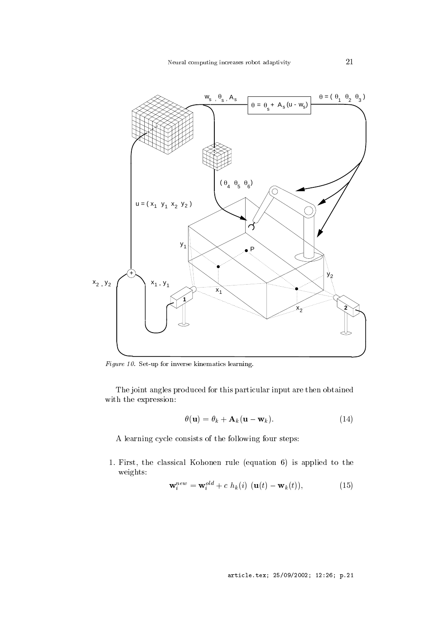

Figure 10. Set-up for inverse kinematics learning.

The joint angles produced for this particular input are then obtained with the expression:

$$
\theta(\mathbf{u}) = \theta_k + \mathbf{A}_k(\mathbf{u} - \mathbf{w}_k). \tag{14}
$$

A learning cycle consists of the following four steps:

1. First, the classical Kohonen rule (equation 6) is applied to the weights:

$$
\mathbf{w}_i^{new} = \mathbf{w}_i^{old} + c \; h_k(i) \; (\mathbf{u}(t) - \mathbf{w}_k(t)), \tag{15}
$$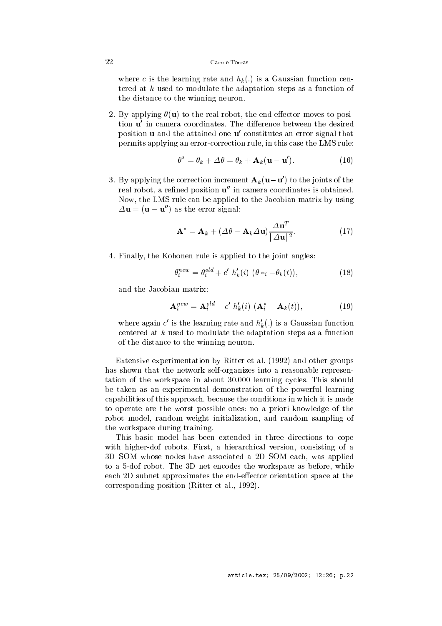where c is the learning rate and  $h_k(.)$  is a Gaussian function centered at  $k$  used to modulate the adaptation steps as a function of the distance to the winning neuron.

2. By applying  $\theta(\mathbf{u})$  to the real robot, the end-effector moves to position **u**' in camera coordinates. The difference between the desired position **u** and the attained one **u**' constitutes an error signal that permits applying an error-correction rule, in this case the LMS rule:

$$
\theta^* = \theta_k + \Delta\theta = \theta_k + \mathbf{A}_k(\mathbf{u} - \mathbf{u}'). \tag{16}
$$

3. By applying the correction increment  $\mathbf{A}_k(\mathbf{u}-\mathbf{u}')$  to the joints of the real robot, a refined position  $\mathbf{u}''$  in camera coordinates is obtained. Now, the LMS rule can be applied to the Jacobian matrix by using  $\Delta$ **u** = (**u** – **u**<sup>*u*</sup>) as the error signal:

$$
\mathbf{A}^* = \mathbf{A}_k + (\Delta \theta - \mathbf{A}_k \Delta \mathbf{u}) \frac{\Delta \mathbf{u}^T}{\|\Delta \mathbf{u}\|^2}.
$$
 (17)

4. Finally, the Kohonen rule is applied to the joint angles:

$$
\theta_i^{new} = \theta_i^{old} + c' h'_k(i) \ (\theta *_i -\theta_k(t)), \tag{18}
$$

and the Jacobian matrix:

$$
\mathbf{A}_{i}^{new} = \mathbf{A}_{i}^{old} + c' h'_{k}(i) (\mathbf{A}_{i}^{*} - \mathbf{A}_{k}(t)), \qquad (19)
$$

where again c' is the learning rate and  $h'_{k}(.)$  is a Gaussian function centered at  $k$  used to modulate the adaptation steps as a function of the distance to the winning neuron.

Extensive experimentation by Ritter et al. (1992) and other groups has shown that the network self-organizes into a reasonable representation of the workspace in about 30.000 learning cycles. This should be taken as an experimental demonstration of the powerful learning capabilities of this approach, because the conditions in which it is made to operate are the worst possible ones: no a priori knowledge of the robot model, random weight initialization, and random sampling of the workspace during training.

This basic model has been extended in three directions to cope with higher-dof robots. First, a hierarchical version, consisting of a 3D SOM whose nodes have associated a 2D SOM each, was applied to a 5-dof robot. The 3D net encodes the workspace as before, while each 2D subnet approximates the end-effector orientation space at the corresponding position (Ritter et al., 1992).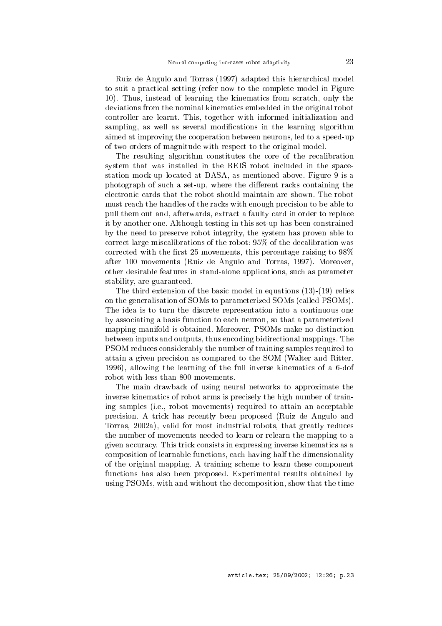Ruiz de Angulo and Torras (1997) adapted this hierarchical model to suit a practical setting (refer now to the complete model in Figure 10). Thus, instead of learning the kinematics from scratch, only the deviations from the nominal kinematics embedded in the original robot controller are learnt. This, together with informed initialization and sampling, as well as several modifications in the learning algorithm aimed at improving the cooperation between neurons, led to a speed-up of two orders of magnitude with respect to the original model.

The resulting algorithm constitutes the core of the recalibration system that was installed in the REIS robot included in the spacestation mock-up located at DASA, as mentioned above. Figure 9 is a photograph of such a set-up, where the different racks containing the electronic cards that the robot should maintain are shown. The robot must reach the handles of the racks with enough precision to be able to pull them out and, afterwards, extract a faulty card in order to replace it by another one. Although testing in this set-up has been constrained by the need to preserve robot integrity, the system has proven able to correct large miscalibrations of the robot: 95% of the decalibration was corrected with the first 25 movements, this percentage raising to 98% after 100 movements (Ruiz de Angulo and Torras, 1997). Moreover, other desirable features in stand-alone applications, such as parameter stability, are guaranteed.

The third extension of the basic model in equations  $(13)-(19)$  relies on the generalisation of SOMs to parameterized SOMs (called PSOMs). The idea is to turn the discrete representation into a continuous one by associating a basis function to each neuron, so that a parameterized mapping manifold is obtained. Moreover, PSOMs make no distinction between inputs and outputs, thus encoding bidirectional mappings. The PSOM reduces considerably the number of training samples required to attain a given precision as compared to the SOM (Walter and Ritter, 1996), allowing the learning of the full inverse kinematics of a  $6$ -dof robot with less than 800 movements.

The main drawback of using neural networks to approximate the inverse kinematics of robot arms is precisely the high number of training samples (i.e., robot movements) required to attain an acceptable precision. A trick has recently been proposed (Ruiz de Angulo and Torras, 2002a), valid for most industrial robots, that greatly reduces the number of movements needed to learn or relearn the mapping to a given accuracy. This trick consists in expressing inverse kinematics as a composition of learnable functions, each having half the dimensionality of the original mapping. A training scheme to learn these component functions has also been proposed. Experimental results obtained by using PSOMs, with and without the decomposition, show that the time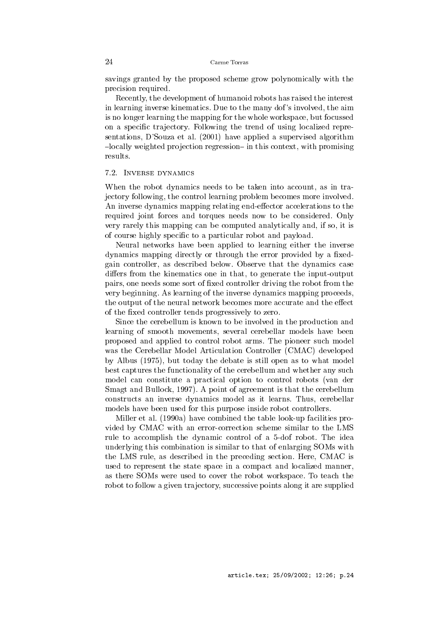savings granted by the proposed scheme grow polynomically with the precision required.

Recently, the development of humanoid robots has raised the interest in learning inverse kinematics. Due to the many dof's involved, the aim is no longer learning the mapping for the whole workspace, but focussed on a specific trajectory. Following the trend of using localized representations. D'Souza et al. (2001) have applied a supervised algorithm -locally weighted projection regression- in this context, with promising results.

#### 7.2. INVERSE DYNAMICS

When the robot dynamics needs to be taken into account, as in trajectory following, the control learning problem becomes more involved. An inverse dynamics mapping relating end-effector accelerations to the required joint forces and torques needs now to be considered. Only very rarely this mapping can be computed analytically and, if so, it is of course highly specific to a particular robot and payload.

Neural networks have been applied to learning either the inverse dynamics mapping directly or through the error provided by a fixedgain controller, as described below. Observe that the dynamics case differs from the kinematics one in that, to generate the input-output pairs, one needs some sort of fixed controller driving the robot from the very beginning. As learning of the inverse dynamics mapping proceeds, the output of the neural network becomes more accurate and the effect of the fixed controller tends progressively to zero.

Since the cerebellum is known to be involved in the production and learning of smooth movements, several cerebellar models have been proposed and applied to control robot arms. The pioneer such model was the Cerebellar Model Articulation Controller (CMAC) developed by Albus (1975), but today the debate is still open as to what model best captures the functionality of the cerebellum and whether any such model can constitute a practical option to control robots (van der Smagt and Bullock, 1997). A point of agreement is that the cerebellum constructs an inverse dynamics model as it learns. Thus, cerebellar models have been used for this purpose inside robot controllers.

Miller et al. (1990a) have combined the table look-up facilities provided by CMAC with an error-correction scheme similar to the LMS rule to accomplish the dynamic control of a 5-dof robot. The idea underlying this combination is similar to that of enlarging SOMs with the LMS rule, as described in the preceding section. Here, CMAC is used to represent the state space in a compact and localized manner, as there SOMs were used to cover the robot workspace. To teach the robot to follow a given trajectory, successive points along it are supplied

24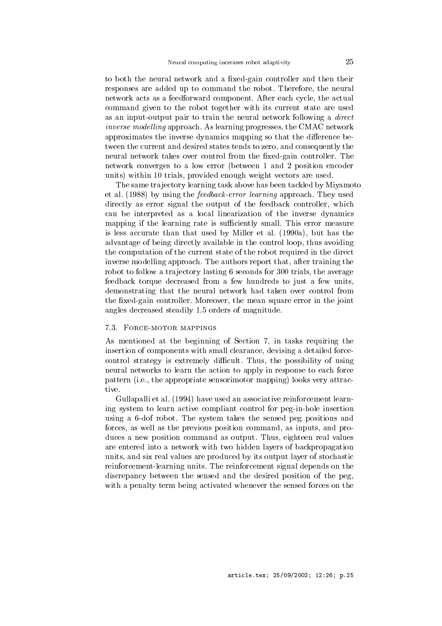to both the neural network and a fixed-gain controller and then their responses are added up to command the robot. Therefore, the neural network acts as a feedforward component. After each cycle, the actual command given to the robot together with its current state are used as an input-output pair to train the neural network following a direct *inverse modelling* approach. As learning progresses, the CMAC network approximates the inverse dynamics mapping so that the difference between the current and desired states tends to zero, and consequently the neural network takes over control from the fixed-gain controller. The network converges to a low error (between 1 and 2 position encoder units) within 10 trials, provided enough weight vectors are used.

The same trajectory learning task above has been tackled by Miyamoto et al. (1988) by using the *feedback-error learning* approach. They used directly as error signal the output of the feedback controller, which can be interpreted as a local linearization of the inverse dynamics mapping if the learning rate is sufficiently small. This error measure is less accurate than that used by Miller et al. (1990a), but has the advantage of being directly available in the control loop, thus avoiding the computation of the current state of the robot required in the direct inverse modelling approach. The authors report that, after training the robot to follow a trajectory lasting 6 seconds for 300 trials, the average feedback torque decreased from a few hundreds to just a few units. demonstrating that the neural network had taken over control from the fixed-gain controller. Moreover, the mean square error in the joint angles decreased steadily 1.5 orders of magnitude.

#### 7.3. FORCE-MOTOR MAPPINGS

As mentioned at the beginning of Section 7, in tasks requiring the insertion of components with small clearance, devising a detailed forcecontrol strategy is extremely difficult. Thus, the possibility of using neural networks to learn the action to apply in response to each force pattern (i.e., the appropriate sensorimotor mapping) looks very attractive.

Gullapalli et al. (1994) have used an associative reinforcement learning system to learn active compliant control for peg-in-hole insertion using a 6-dof robot. The system takes the sensed peg positions and forces, as well as the previous position command, as inputs, and produces a new position command as output. Thus, eighteen real values are entered into a network with two hidden layers of backpropagation units, and six real values are produced by its output layer of stochastic reinforcement-learning units. The reinforcement signal depends on the discrepancy between the sensed and the desired position of the peg, with a penalty term being activated whenever the sensed forces on the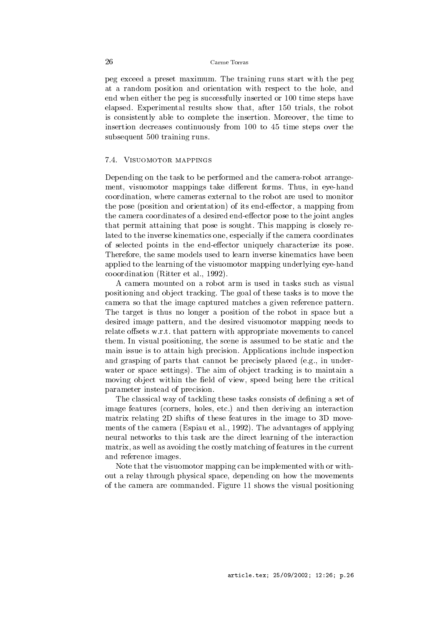peg exceed a preset maximum. The training runs start with the peg at a random position and orientation with respect to the hole, and end when either the peg is successfully inserted or 100 time steps have elapsed. Experimental results show that, after 150 trials, the robot is consistently able to complete the insertion. Moreover, the time to insertion decreases continuously from 100 to 45 time steps over the subsequent 500 training runs.

## 7.4. VISUOMOTOR MAPPINGS

Depending on the task to be performed and the camera-robot arrangement, visuomotor mappings take different forms. Thus, in eye-hand coordination, where cameras external to the robot are used to monitor the pose (position and orientation) of its end-effector, a mapping from the camera coordinates of a desired end-effector pose to the joint angles that permit attaining that pose is sought. This mapping is closely related to the inverse kinematics one, especially if the camera coordinates of selected points in the end-effector uniquely characterize its pose. Therefore, the same models used to learn inverse kinematics have been applied to the learning of the visuomotor mapping underlying eye-hand coordination (Ritter et al., 1992).

A camera mounted on a robot arm is used in tasks such as visual positioning and object tracking. The goal of these tasks is to move the camera so that the image captured matches a given reference pattern. The target is thus no longer a position of the robot in space but a desired image pattern, and the desired visuomotor mapping needs to relate offsets w.r.t. that pattern with appropriate movements to cancel them. In visual positioning, the scene is assumed to be static and the main issue is to attain high precision. Applications include inspection and grasping of parts that cannot be precisely placed (e.g., in underwater or space settings). The aim of object tracking is to maintain a moving object within the field of view, speed being here the critical parameter instead of precision.

The classical way of tackling these tasks consists of defining a set of image features (corners, holes, etc.) and then deriving an interaction matrix relating 2D shifts of these features in the image to 3D movements of the camera (Espiau et al., 1992). The advantages of applying neural networks to this task are the direct learning of the interaction matrix, as well as avoiding the costly matching of features in the current and reference images.

Note that the visuomotor mapping can be implemented with or without a relay through physical space, depending on how the movements of the camera are commanded. Figure 11 shows the visual positioning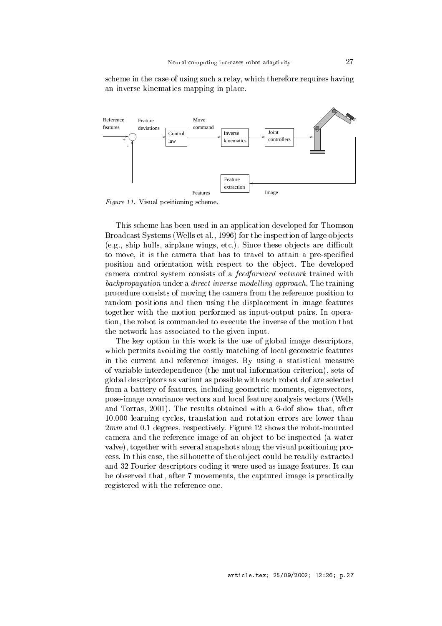scheme in the case of using such a relay, which therefore requires having an inverse kinematics mapping in place.



Figure 11. Visual positioning scheme.

This scheme has been used in an application developed for Thomson Broadcast Systems (Wells et al., 1996) for the inspection of large objects (e.g., ship hulls, airplane wings, etc.). Since these objects are difficult to move, it is the camera that has to travel to attain a pre-specified position and orientation with respect to the object. The developed camera control system consists of a *feedforward network* trained with *backpropagation* under a *direct inverse modelling approach*. The training procedure consists of moving the camera from the reference position to random positions and then using the displacement in image features together with the motion performed as input-output pairs. In operation, the robot is commanded to execute the inverse of the motion that the network has associated to the given input.

The key option in this work is the use of global image descriptors, which permits avoiding the costly matching of local geometric features in the current and reference images. By using a statistical measure of variable interdependence (the mutual information criterion), sets of global descriptors as variant as possible with each robot dof are selected from a battery of features, including geometric moments, eigenvectors, pose-image covariance vectors and local feature analysis vectors (Wells and Torras, 2001). The results obtained with a 6-dof show that, after 10.000 learning cycles, translation and rotation errors are lower than  $2mm$  and 0.1 degrees, respectively. Figure 12 shows the robot-mounted camera and the reference image of an object to be inspected (a water valve), together with several snapshots along the visual positioning process. In this case, the silhouette of the object could be readily extracted and 32 Fourier descriptors coding it were used as image features. It can be observed that, after 7 movements, the captured image is practically registered with the reference one.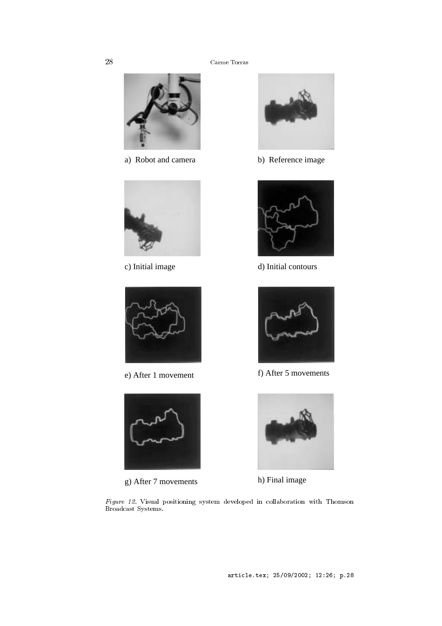#### 11110 **101100**



a) Robot and camera



c) Initial image



e) After 1 movement



g) After 7 movements



b) Reference image



d) Initial contours



f) After 5 movements



h) Final image

 $\mathbf{r}$  where  $\mathbf{r}$  is a positioning specific dependence in condected in which there is no produced in Broadcast Systems.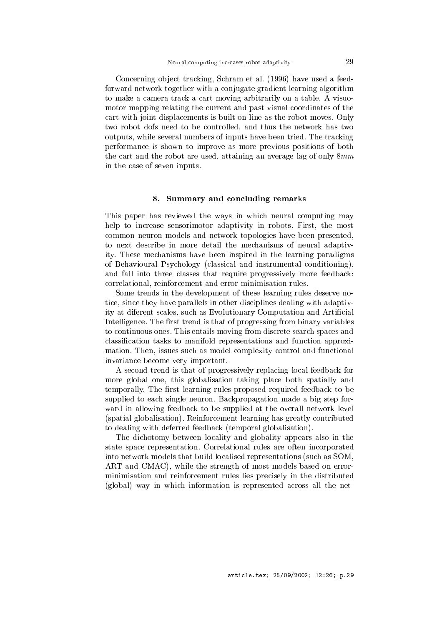Concerning object tracking. Schram et al. (1996) have used a feedforward network together with a conjugate gradient learning algorithm to make a camera track a cart moving arbitrarily on a table. A visuomotor mapping relating the current and past visual coordinates of the cart with joint displacements is built on-line as the robot moves. Only two robot dofs need to be controlled, and thus the network has two outputs, while several numbers of inputs have been tried. The tracking performance is shown to improve as more previous positions of both the cart and the robot are used, attaining an average lag of only  $8mm$ in the case of seven inputs.

### 8. Summary and concluding remarks

This paper has reviewed the ways in which neural computing may help to increase sensorimotor adaptivity in robots. First, the most common neuron models and network topologies have been presented. to next describe in more detail the mechanisms of neural adaptivity. These mechanisms have been inspired in the learning paradigms of Behavioural Psychology (classical and instrumental conditioning), and fall into three classes that require progressively more feedback: correlational, reinforcement and error-minimisation rules.

Some trends in the development of these learning rules deserve notice, since they have parallels in other disciplines dealing with adaptivity at diferent scales, such as Evolutionary Computation and Artificial Intelligence. The first trend is that of progressing from binary variables to continuous ones. This entails moving from discrete search spaces and classification tasks to manifold representations and function approximation. Then, issues such as model complexity control and functional invariance become very important.

A second trend is that of progressively replacing local feedback for more global one, this globalisation taking place both spatially and temporally. The first learning rules proposed required feedback to be supplied to each single neuron. Backpropagation made a big step forward in allowing feedback to be supplied at the overall network level (spatial globalisation). Reinforcement learning has greatly contributed to dealing with deferred feedback (temporal globalisation).

The dichotomy between locality and globality appears also in the state space representation. Correlational rules are often incorporated into network models that build localised representations (such as SOM, ART and CMAC), while the strength of most models based on errorminimisation and reinforcement rules lies precisely in the distributed (global) way in which information is represented across all the net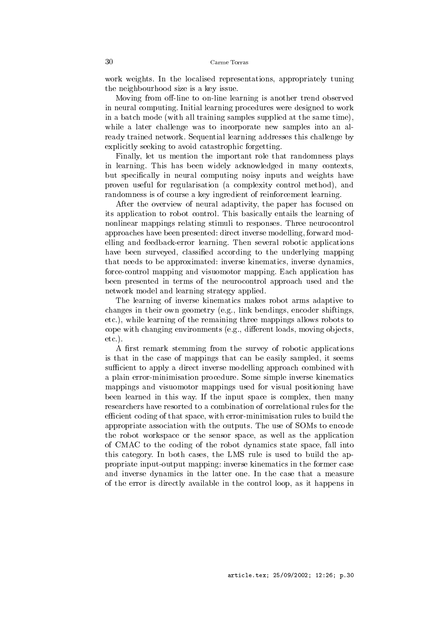work weights. In the localised representations, appropriately tuning the neighbourhood size is a key issue.

Moving from off-line to on-line learning is another trend observed in neural computing. Initial learning procedures were designed to work in a batch mode (with all training samples supplied at the same time), while a later challenge was to incorporate new samples into an already trained network. Sequential learning addresses this challenge by explicitly seeking to avoid catastrophic forgetting.

Finally, let us mention the important role that randomness plays in learning. This has been widely acknowledged in many contexts, but specifically in neural computing noisy inputs and weights have proven useful for regularisation (a complexity control method), and randomness is of course a key ingredient of reinforcement learning.

After the overview of neural adaptivity, the paper has focused on its application to robot control. This basically entails the learning of nonlinear mappings relating stimuli to responses. Three neurocontrol approaches have been presented: direct inverse modelling, forward modelling and feedback-error learning. Then several robotic applications have been surveyed, classified according to the underlying mapping that needs to be approximated: inverse kinematics, inverse dynamics, force-control mapping and visuomotor mapping. Each application has been presented in terms of the neurocontrol approach used and the network model and learning strategy applied.

The learning of inverse kinematics makes robot arms adaptive to changes in their own geometry (e.g., link bendings, encoder shiftings, etc.), while learning of the remaining three mappings allows robots to cope with changing environments (e.g., different loads, moving objects,  $etc.$ ).

A first remark stemming from the survey of robotic applications is that in the case of mappings that can be easily sampled, it seems sufficient to apply a direct inverse modelling approach combined with a plain error-minimisation procedure. Some simple inverse kinematics mappings and visuamotor mappings used for visual positioning have been learned in this way. If the input space is complex, then many researchers have resorted to a combination of correlational rules for the efficient coding of that space, with error-minimisation rules to build the appropriate association with the outputs. The use of SOMs to encode the robot workspace or the sensor space, as well as the application of CMAC to the coding of the robot dynamics state space, fall into this category. In both cases, the LMS rule is used to build the appropriate input-output mapping: inverse kinematics in the former case and inverse dynamics in the latter one. In the case that a measure of the error is directly available in the control loop, as it happens in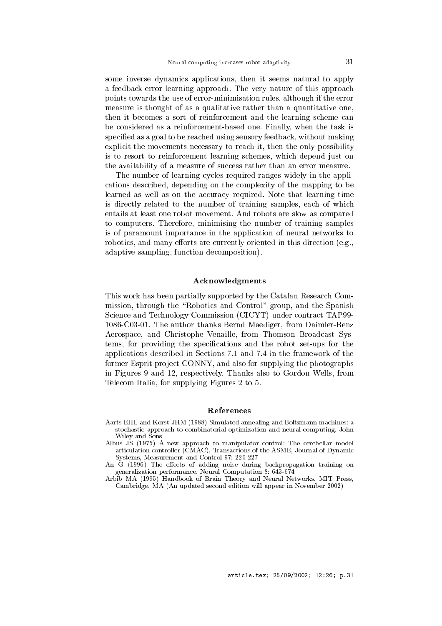some inverse dynamics applications, then it seems natural to apply a feedback-error learning approach. The very nature of this approach points towards the use of error-minimisation rules, although if the error measure is thought of as a qualitative rather than a quantitative one, then it becomes a sort of reinforcement and the learning scheme can be considered as a reinforcement-based one. Finally, when the task is specified as a goal to be reached using sensory feedback, without making explicit the movements necessary to reach it, then the only possibility is to resort to reinforcement learning schemes, which depend just on the availability of a measure of success rather than an error measure.

The number of learning cycles required ranges widely in the applications described, depending on the complexity of the mapping to be learned as well as on the accuracy required. Note that learning time is directly related to the number of training samples, each of which entails at least one robot movement. And robots are slow as compared to computers. Therefore, minimising the number of training samples is of paramount importance in the application of neural networks to robotics, and many efforts are currently oriented in this direction (e.g., adaptive sampling, function decomposition).

### Acknowledgments

This work has been partially supported by the Catalan Research Commission, through the "Robotics and Control" group, and the Spanish Science and Technology Commission (CICYT) under contract TAP99-1086-C03-01. The author thanks Bernd Maediger, from Daimler-Benz Aerospace, and Christophe Venaille, from Thomson Broadcast Systems, for providing the specifications and the robot set-ups for the applications described in Sections 7.1 and 7.4 in the framework of the former Esprit project CONNY, and also for supplying the photographs in Figures 9 and 12, respectively. Thanks also to Gordon Wells, from Telecom Italia, for supplying Figures 2 to 5.

### References

- Aarts EHL and Korst JHM (1988) Simulated annealing and Boltzmann machines: a stochastic approach to combinatorial optimization and neural computing. John Wiley and Sons
- Albus JS (1975) A new approach to manipulator control: The cerebellar model articulation controller (CMAC). Transactions of the ASME, Journal of Dynamic Systems, Measurement and Control 97: 220-227
- An G (1996) The effects of adding noise during backpropagation training on generalization performance. Neural Computation 8: 643-674
- Arbib MA (1995) Handbook of Brain Theory and Neural Networks. MIT Press, Cambridge, MA (An updated second edition will appear in November 2002)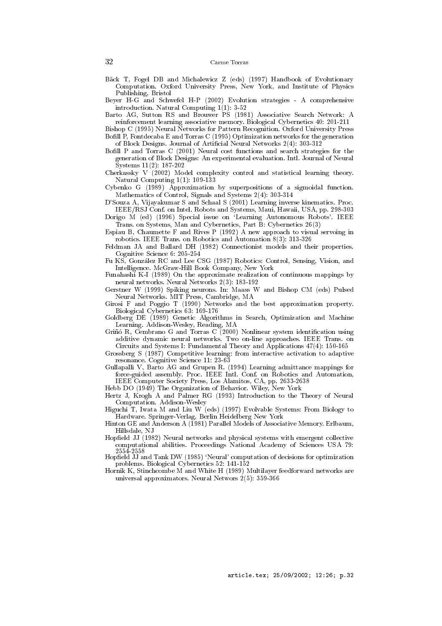Bäck T. Fogel DB and Michalewicz Z (eds) (1997) Handbook of Evolutionary Computation. Oxford University Press, New York, and Institute of Physics Publishing, Bristol

Beyer H-G and Schwefel H-P (2002) Evolution strategies - A comprehensive introduction. Natural Computing  $1(1)$ : 3-52

- Barto AG, Sutton RS and Brouwer PS (1981) Associative Search Network: A reinforcement learning associative memory. Biological Cybernetics 40: 201-211
- Bishop C (1995) Neural Networks for Pattern Recognition. Oxford University Press Bofill P, Fontdecaba E and Torras C (1995) Optimization networks for the generation of Block Designs. Journal of Artificial Neural Networks 2(4): 303-312
- Bofill P and Torras C (2001) Neural cost functions and search strategies for the generation of Block Designs: An experimental evaluation. Intl. Journal of Neural Systems  $11(2): 187-202$
- Cherkassky V (2002) Model complexity control and statistical learning theory. Natural Computing 1(1): 109-133
- Cybenko G (1989) Approximation by superpositions of a sigmoidal function. Mathematics of Control, Signals and Systems 2(4): 303-314
- D'Souza A, Vijayakumar S and Schaal S (2001) Learning inverse kinematics. Proc. IEEE/RSJ Conf. on Intel. Robots and Systems, Maui, Hawaii, USA, pp. 298-303
- Dorigo M (ed) (1996) Special issue on 'Learning Autonomous Robots'. IEEE Trans. on Systems, Man and Cybernetics, Part B: Cybernetics 26(3)
- Espiau B, Chaumette F and Rives P (1992) A new approach to visual servoing in robotics. IEEE Trans. on Robotics and Automation 8(3): 313-326
- Feldman JA and Ballard DH (1982) Connectionist models and their properties. Cognitive Science 6: 205-254
- Fu KS, González RC and Lee CSG (1987) Robotics: Control, Sensing, Vision, and Intelligence. McGraw-Hill Book Company, New York
- Funahashi K-I (1989) On the approximate realization of continuous mappings by neural networks. Neural Networks 2(3): 183-192
- Gerstner W (1999) Spiking neurons. In: Maass W and Bishop CM (eds) Pulsed Neural Networks. MIT Press, Cambridge, MA<br>Girosi F and Poggio T (1990) Networks and the best approximation property.
- Biological Cybernetics 63: 169-176
- Goldberg DE (1989) Genetic Algorithms in Search, Optimization and Machine Learning. Addison-Wesley, Reading, MA
- Griñó R. Cembrano G and Torras C (2000) Nonlinear system identification using additive dynamic neural networks. Two on-line approaches. IEEE Trans. on Circuits and Systems I: Fundamental Theory and Applications 47(4): 150-165
- Grossberg S (1987) Competitive learning: from interactive activation to adaptive resonance. Cognitive Science 11: 23-63
- Gullapalli V, Barto AG and Grupen R. (1994) Learning admittance mappings for force-guided assembly. Proc. IEEE Intl. Conf. on Robotics and Automation, IEEE Computer Society Press, Los Alamitos, CA, pp. 2633-2638<br>Hebb DO (1949) The Organization of Behavior. Wiley, New York
	-
- Hertz J, Krogh A and Palmer RG (1993) Introduction to the Theory of Neural Computation. Addison-Wesley
- Higuchi T, Iwata M and Liu W (eds) (1997) Evolvable Systems: From Biology to Hardware. Springer-Verlag, Berlin Heidelberg New York
- Hinton GE and Anderson A (1981) Parallel Models of Associative Memory. Erlbaum,
- Hillsdale, NJ<br>Hopfield JJ (1982) Neural networks and physical systems with emergent collective computational abilities. Proceedings National Academy of Sciences USA 79: 2554-2558
- Hopfield JJ and Tank DW (1985) 'Neural' computation of decisions for optimization problems. Biological Cybernetics 52: 141-152
- Hornik K, Stinchcombe M and White H (1989) Multilayer feedforward networks are universal approximators. Neural Networs 2(5): 359-366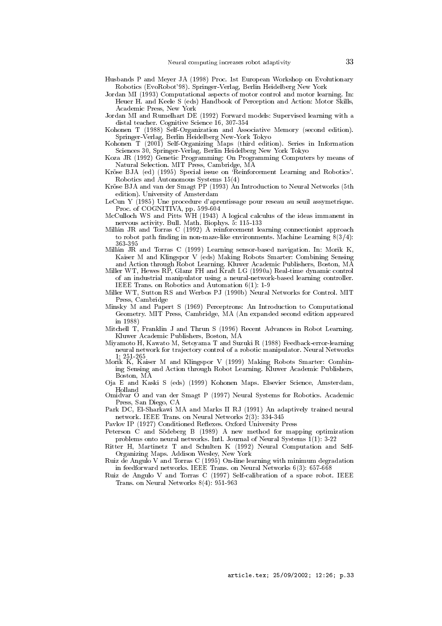- Husbands P and Mever JA (1998) Proc. 1st European Workshop on Evolutionary Robotics (EvoRobot'98). Springer-Verlag, Berlin Heidelberg New York
- Jordan MI (1993) Computational aspects of motor control and motor learning. In: Heuer H. and Keele S (eds) Handbook of Perception and Action: Motor Skills, Academic Press, New York
- Jordan MI and Rumelhart DE (1992) Forward models: Supervised learning with a distal teacher. Cognitive Science 16, 307-354
- Kohonen T (1988) Self-Organization and Associative Memory (second edition). Springer-Verlag, Berlin Heidelberg New-York Tokyo
- Kohonen T (2001) Self-Organizing Maps (third edition). Series in Information Sciences 30, Springer-Verlag, Berlin Heidelberg New York Tokyo
- Koza JR (1992) Genetic Programming: On Programming Computers by means of Natural Selection. MIT Press, Cambridge, MA
- Kröse BJA (ed) (1995) Special issue on 'Reinforcement Learning and Robotics'. Robotics and Autonomous Systems 15(4)
- Kröse BJA and van der Smagt PP (1993) An Introduction to Neural Networks (5th edition). University of Amsterdam
- LeCun Y (1985) Une procedure d'aprentissage pour reseau au seuil assymetrique. Proc. of COGNITIVA, pp. 599-604
- McCulloch WS and Pitts WH (1943) A logical calculus of the ideas immanent in nervous activity. Bull. Math. Biophys. 5. 115-133
- Millán JR and Torras C (1992) A reinforcement learning connectionist approach to robot path finding in non-maze-like environments. Machine Learning  $8(3/4)$ : 363-395
- Millán JR and Torras C (1999) Learning sensor-based navigation. In: Morik K, Kaiser M and Klingspor V (eds) Making Robots Smarter: Combining Sensing and Action through Robot Learning. Kluwer Academic Publishers, Boston, MA
- Miller WT, Hewes RP, Glanz FH and Kraft LG (1990a) Real-time dynamic control of an industrial manipulator using a neural-network-based learning controller. IEEE Trans. on Robotics and Automation  $6(1)$ : 1-9
- Miller WT, Sutton RS and Werbos PJ (1990b) Neural Networks for Control. MIT Press, Cambridge
- Minsky M and Papert S (1969) Perceptrons: An Introduction to Computational Geometry. MIT Press, Cambridge, MA (An expanded second edition appeared in 1988)
- Mitchell T, Franklin J and Thrun S (1996) Recent Advances in Robot Learning. Kluwer Academic Publishers, Boston, MA
- Miyamoto H, Kawato M, Setoyama T and Suzuki R (1988) Feedback-error-learning neural network for trajectory control of a robotic manipulator. Neural Networks  $1:251-265$
- Morik K, Kaiser M and Klingspor V (1999) Making Robots Smarter: Combining Sensing and Action through Robot Learning. Kluwer Academic Publishers, Boston, MA
- Oja E and Kaski S (eds) (1999) Kohonen Maps. Elsevier Science, Amsterdam, Holland
- Omidvar O and van der Smagt P (1997) Neural Systems for Robotics. Academic Press, San Diego, CA
- Park DC, El-Sharkawi MA and Marks II RJ (1991) An adaptively trained neural network. IEEE Trans. on Neural Networks 2(3): 334-345
- Pavlov IP (1927) Conditioned Reflexes. Oxford University Press
- Peterson C and Södeberg B (1989) A new method for mapping optimization problems onto neural networks. Intl. Journal of Neural Systems 1(1): 3-22
- Ritter H, Martinetz T and Schulten K (1992) Neural Computation and Self-Organizing Maps. Addison Wesley, New York
- Ruiz de Angulo V and Torras C (1995) On-line learning with minimum degradation in feedforward networks. IEEE Trans. on Neural Networks 6(3): 657-668
- Ruiz de Angulo V and Torras C (1997) Self-calibration of a space robot. IEEE Trans. on Neural Networks  $8(4)$ : 951-963